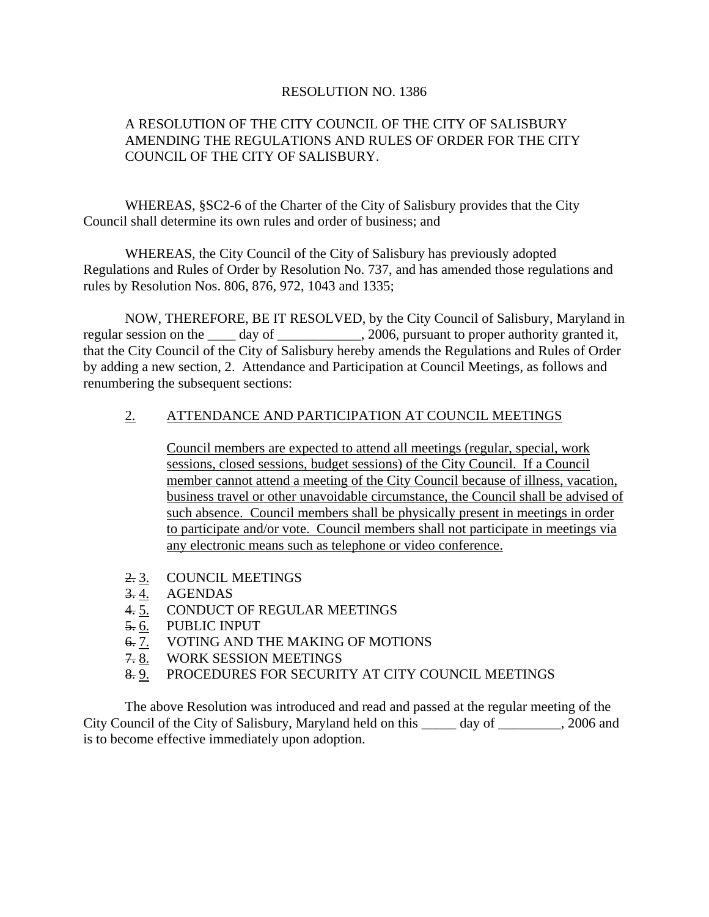## RESOLUTION NO. 1386

## A RESOLUTION OF THE CITY COUNCIL OF THE CITY OF SALISBURY AMENDING THE REGULATIONS AND RULES OF ORDER FOR THE CITY COUNCIL OF THE CITY OF SALISBURY.

 WHEREAS, §SC2-6 of the Charter of the City of Salisbury provides that the City Council shall determine its own rules and order of business; and

 WHEREAS, the City Council of the City of Salisbury has previously adopted Regulations and Rules of Order by Resolution No. 737, and has amended those regulations and rules by Resolution Nos. 806, 876, 972, 1043 and 1335;

 NOW, THEREFORE, BE IT RESOLVED, by the City Council of Salisbury, Maryland in regular session on the \_\_\_\_ day of \_\_\_\_\_\_\_\_\_\_\_, 2006, pursuant to proper authority granted it, that the City Council of the City of Salisbury hereby amends the Regulations and Rules of Order by adding a new section, 2. Attendance and Participation at Council Meetings, as follows and renumbering the subsequent sections:

## 2. ATTENDANCE AND PARTICIPATION AT COUNCIL MEETINGS

 Council members are expected to attend all meetings (regular, special, work sessions, closed sessions, budget sessions) of the City Council. If a Council member cannot attend a meeting of the City Council because of illness, vacation, business travel or other unavoidable circumstance, the Council shall be advised of such absence. Council members shall be physically present in meetings in order to participate and/or vote. Council members shall not participate in meetings via any electronic means such as telephone or video conference.

- 2. 3. COUNCIL MEETINGS
- 3. 4. AGENDAS
- 4. 5. CONDUCT OF REGULAR MEETINGS
- $\frac{6.6}{6.7}$  PUBLIC INPUT<br>6. 7. VOTING AND T
- VOTING AND THE MAKING OF MOTIONS
- 7. 8. WORK SESSION MEETINGS
- 8. 9. PROCEDURES FOR SECURITY AT CITY COUNCIL MEETINGS

 The above Resolution was introduced and read and passed at the regular meeting of the City Council of the City of Salisbury, Maryland held on this \_\_\_\_\_ day of \_\_\_\_\_\_\_\_\_, 2006 and is to become effective immediately upon adoption.